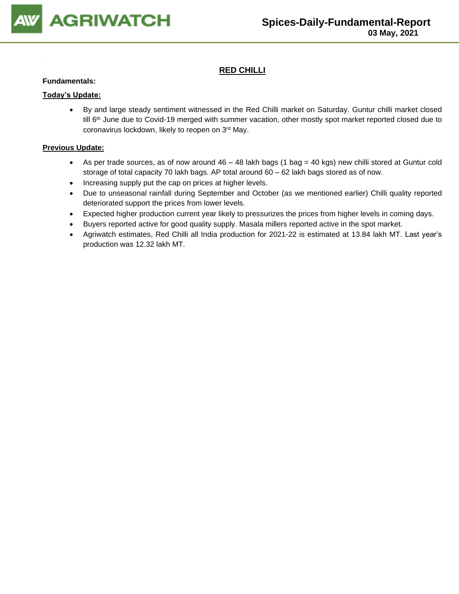

# **RED CHILLI**

#### **Fundamentals:**

#### **Today's Update:**

• By and large steady sentiment witnessed in the Red Chilli market on Saturday. Guntur chilli market closed till 6<sup>th</sup> June due to Covid-19 merged with summer vacation, other mostly spot market reported closed due to coronavirus lockdown, likely to reopen on 3 rd May.

- As per trade sources, as of now around  $46 48$  lakh bags (1 bag = 40 kgs) new chilli stored at Guntur cold storage of total capacity 70 lakh bags. AP total around 60 – 62 lakh bags stored as of now.
- Increasing supply put the cap on prices at higher levels.
- Due to unseasonal rainfall during September and October (as we mentioned earlier) Chilli quality reported deteriorated support the prices from lower levels.
- Expected higher production current year likely to pressurizes the prices from higher levels in coming days.
- Buyers reported active for good quality supply. Masala millers reported active in the spot market.
- Agriwatch estimates, Red Chilli all India production for 2021-22 is estimated at 13.84 lakh MT. Last year's production was 12.32 lakh MT.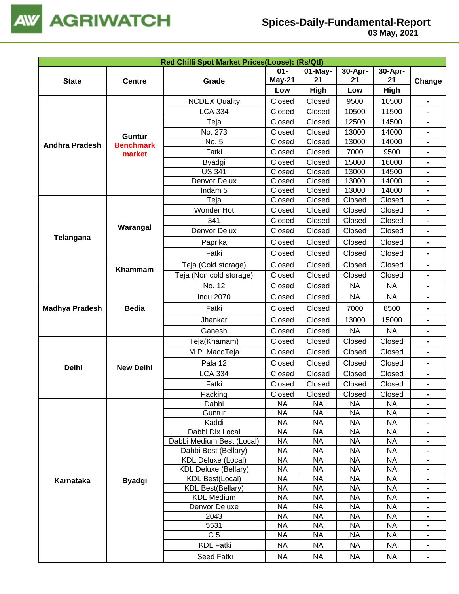

| Red Chilli Spot Market Prices(Loose): (Rs/Qtl) |                  |                                               |                        |                        |                        |                        |                                  |  |
|------------------------------------------------|------------------|-----------------------------------------------|------------------------|------------------------|------------------------|------------------------|----------------------------------|--|
|                                                |                  |                                               | $01 -$                 | $01$ -May-             | 30-Apr-                | 30-Apr-                |                                  |  |
| <b>State</b>                                   | <b>Centre</b>    | Grade                                         | May-21                 | 21                     | 21                     | 21                     | Change                           |  |
|                                                |                  |                                               | Low                    | High                   | Low                    | High                   |                                  |  |
|                                                |                  | <b>NCDEX Quality</b>                          | Closed                 | Closed                 | 9500                   | 10500                  | $\blacksquare$                   |  |
|                                                |                  | <b>LCA 334</b>                                | Closed                 | Closed                 | 10500                  | 11500                  |                                  |  |
|                                                |                  | Teja                                          | Closed                 | Closed                 | 12500                  | 14500                  |                                  |  |
|                                                | <b>Guntur</b>    | No. 273                                       | Closed                 | Closed                 | 13000                  | 14000                  | $\blacksquare$                   |  |
| <b>Andhra Pradesh</b>                          | <b>Benchmark</b> | No. 5                                         | Closed                 | Closed                 | 13000                  | 14000                  | $\blacksquare$                   |  |
|                                                | market           | Fatki                                         | Closed                 | Closed                 | 7000                   | 9500                   |                                  |  |
|                                                |                  | Byadgi                                        | Closed                 | Closed                 | 15000                  | 16000                  |                                  |  |
|                                                |                  | <b>US 341</b>                                 | Closed                 | Closed                 | 13000                  | 14500                  |                                  |  |
|                                                |                  | Denvor Delux                                  | Closed                 | Closed                 | 13000                  | 14000                  |                                  |  |
|                                                |                  | Indam <sub>5</sub>                            | Closed                 | Closed                 | 13000                  | 14000                  | $\blacksquare$                   |  |
|                                                |                  | Teja                                          | Closed                 | Closed                 | Closed                 | Closed                 | $\blacksquare$                   |  |
|                                                |                  | Wonder Hot                                    | Closed                 | Closed                 | Closed                 | Closed                 |                                  |  |
|                                                | Warangal         | 341                                           | Closed                 | Closed                 | Closed                 | Closed                 |                                  |  |
| Telangana                                      |                  | Denvor Delux                                  | Closed                 | Closed                 | Closed                 | Closed                 | $\blacksquare$                   |  |
|                                                |                  | Paprika                                       | Closed                 | Closed                 | Closed                 | Closed                 |                                  |  |
|                                                |                  | Fatki                                         | Closed                 | Closed                 | Closed                 | Closed                 | $\blacksquare$                   |  |
|                                                | Khammam          | Teja (Cold storage)                           | Closed                 | Closed                 | Closed                 | Closed                 |                                  |  |
|                                                |                  | Teja (Non cold storage)                       | Closed                 | Closed                 | Closed                 | Closed                 |                                  |  |
|                                                |                  | No. 12                                        | Closed                 | Closed                 | <b>NA</b>              | <b>NA</b>              | $\blacksquare$                   |  |
|                                                |                  | <b>Indu 2070</b>                              | Closed                 | Closed                 | <b>NA</b>              | <b>NA</b>              |                                  |  |
| <b>Madhya Pradesh</b>                          | <b>Bedia</b>     | Fatki                                         | Closed                 | Closed                 | 7000                   | 8500                   | $\blacksquare$                   |  |
|                                                |                  | Jhankar                                       | Closed                 | Closed                 | 13000                  | 15000                  |                                  |  |
|                                                |                  | Ganesh                                        | Closed                 | Closed                 | <b>NA</b>              | <b>NA</b>              |                                  |  |
|                                                |                  | Teja(Khamam)                                  | Closed                 | Closed                 | Closed                 | Closed                 | $\blacksquare$                   |  |
|                                                |                  | M.P. MacoTeja                                 | Closed                 | Closed                 | Closed                 | Closed                 |                                  |  |
|                                                |                  | Pala 12                                       | Closed                 | Closed                 | Closed                 | Closed                 | $\blacksquare$                   |  |
| <b>Delhi</b>                                   | <b>New Delhi</b> | <b>LCA 334</b>                                | Closed                 | Closed                 | Closed                 | Closed                 |                                  |  |
|                                                |                  | Fatki                                         | Closed                 | Closed                 | Closed                 | Closed                 | $\blacksquare$                   |  |
|                                                |                  | Packing                                       | Closed                 | Closed                 | Closed                 | Closed                 |                                  |  |
|                                                |                  | Dabbi                                         | <b>NA</b>              | <b>NA</b>              | <b>NA</b>              | <b>NA</b>              |                                  |  |
|                                                |                  | Guntur                                        | <b>NA</b>              | <b>NA</b>              | <b>NA</b>              | <b>NA</b>              |                                  |  |
|                                                |                  | Kaddi                                         | <b>NA</b>              | <b>NA</b>              | NA                     | <b>NA</b>              |                                  |  |
|                                                |                  | Dabbi Dlx Local                               | <b>NA</b>              | <b>NA</b>              | <b>NA</b>              | <b>NA</b>              |                                  |  |
|                                                |                  | Dabbi Medium Best (Local)                     | <b>NA</b>              | <b>NA</b>              | <b>NA</b>              | <b>NA</b>              |                                  |  |
|                                                |                  | Dabbi Best (Bellary)                          | <b>NA</b>              | <b>NA</b>              | <b>NA</b>              | <b>NA</b>              |                                  |  |
|                                                |                  | <b>KDL Deluxe (Local)</b>                     | <b>NA</b>              | <b>NA</b>              | <b>NA</b>              | <b>NA</b>              |                                  |  |
|                                                |                  | <b>KDL Deluxe (Bellary)</b>                   | NA                     | NA                     | <b>NA</b>              | <b>NA</b>              |                                  |  |
| Karnataka                                      | <b>Byadgi</b>    | <b>KDL Best(Local)</b>                        | <b>NA</b>              | NA                     | <b>NA</b>              | <b>NA</b>              | $\blacksquare$                   |  |
|                                                |                  | <b>KDL Best(Bellary)</b><br><b>KDL Medium</b> | <b>NA</b><br><b>NA</b> | <b>NA</b><br><b>NA</b> | <b>NA</b><br><b>NA</b> | <b>NA</b><br><b>NA</b> | $\blacksquare$<br>$\blacksquare$ |  |
|                                                |                  | Denvor Deluxe                                 | <b>NA</b>              | <b>NA</b>              | <b>NA</b>              | <b>NA</b>              |                                  |  |
|                                                |                  | 2043                                          | <b>NA</b>              | <b>NA</b>              | <b>NA</b>              | <b>NA</b>              |                                  |  |
|                                                |                  | 5531                                          | <b>NA</b>              | <b>NA</b>              | <b>NA</b>              | <b>NA</b>              |                                  |  |
|                                                |                  | C <sub>5</sub>                                | NA                     | <b>NA</b>              | <b>NA</b>              | NA                     |                                  |  |
|                                                |                  | <b>KDL Fatki</b>                              | <b>NA</b>              | <b>NA</b>              | <b>NA</b>              | <b>NA</b>              |                                  |  |
|                                                |                  | Seed Fatki                                    | <b>NA</b>              | <b>NA</b>              | <b>NA</b>              | <b>NA</b>              | $\blacksquare$                   |  |
|                                                |                  |                                               |                        |                        |                        |                        |                                  |  |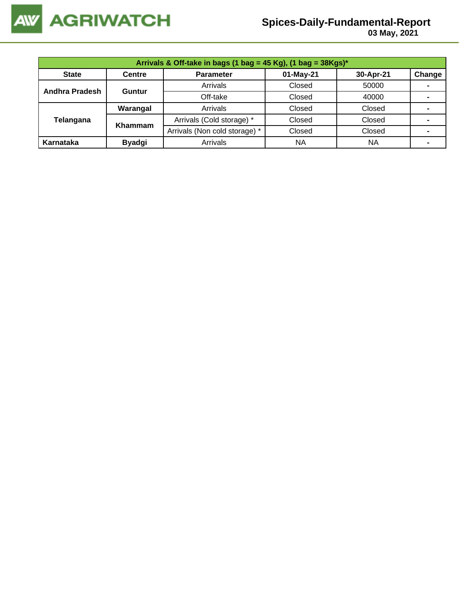

 **03 May, 2021**

| Arrivals & Off-take in bags (1 bag = 45 Kg), (1 bag = $38Kgs$ )* |               |                               |           |           |                |  |  |  |
|------------------------------------------------------------------|---------------|-------------------------------|-----------|-----------|----------------|--|--|--|
| <b>State</b>                                                     | <b>Centre</b> | <b>Parameter</b>              | 01-May-21 | 30-Apr-21 | Change         |  |  |  |
| <b>Andhra Pradesh</b>                                            | Guntur        | Arrivals                      | Closed    | 50000     |                |  |  |  |
|                                                                  |               | Off-take                      | Closed    | 40000     |                |  |  |  |
|                                                                  | Warangal      | Arrivals                      | Closed    | Closed    |                |  |  |  |
| Telangana                                                        | Khammam       | Arrivals (Cold storage) *     | Closed    | Closed    | $\blacksquare$ |  |  |  |
|                                                                  |               | Arrivals (Non cold storage) * | Closed    | Closed    |                |  |  |  |
| Karnataka                                                        | <b>Byadgi</b> | Arrivals                      | <b>NA</b> | <b>NA</b> |                |  |  |  |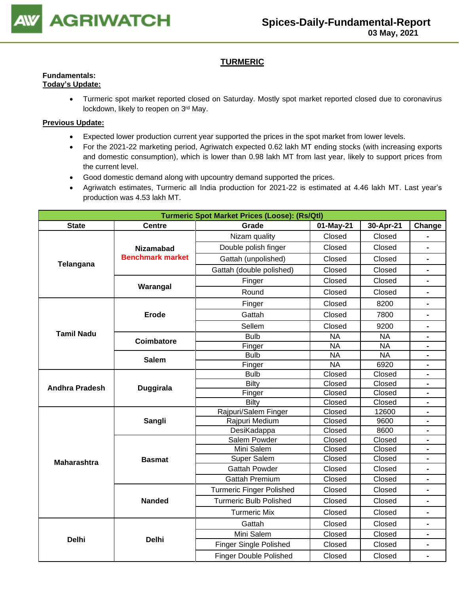

# **TURMERIC**

# **Fundamentals:**

- **Today's Update:**
	- Turmeric spot market reported closed on Saturday. Mostly spot market reported closed due to coronavirus lockdown, likely to reopen on 3<sup>rd</sup> May.

- Expected lower production current year supported the prices in the spot market from lower levels.
- For the 2021-22 marketing period, Agriwatch expected 0.62 lakh MT ending stocks (with increasing exports and domestic consumption), which is lower than 0.98 lakh MT from last year, likely to support prices from the current level.
- Good domestic demand along with upcountry demand supported the prices.
- Agriwatch estimates, Turmeric all India production for 2021-22 is estimated at 4.46 lakh MT. Last year's production was 4.53 lakh MT.

| <b>Turmeric Spot Market Prices (Loose): (Rs/Qtl)</b> |                         |                                 |           |           |                              |  |  |
|------------------------------------------------------|-------------------------|---------------------------------|-----------|-----------|------------------------------|--|--|
| <b>State</b>                                         | <b>Centre</b>           | Grade<br>01-May-21              |           | 30-Apr-21 | Change                       |  |  |
|                                                      |                         | Nizam quality                   | Closed    | Closed    |                              |  |  |
|                                                      | <b>Nizamabad</b>        | Double polish finger            | Closed    | Closed    |                              |  |  |
|                                                      | <b>Benchmark market</b> | Gattah (unpolished)             | Closed    | Closed    | $\blacksquare$               |  |  |
| Telangana                                            |                         | Gattah (double polished)        | Closed    | Closed    |                              |  |  |
|                                                      |                         | Finger                          | Closed    | Closed    |                              |  |  |
|                                                      | Warangal                | Round                           | Closed    | Closed    |                              |  |  |
|                                                      |                         | Finger                          | Closed    | 8200      |                              |  |  |
|                                                      | <b>Erode</b>            | Gattah                          | Closed    | 7800      |                              |  |  |
|                                                      |                         | Sellem                          | Closed    | 9200      | $\blacksquare$               |  |  |
| <b>Tamil Nadu</b>                                    | <b>Coimbatore</b>       | <b>Bulb</b>                     | <b>NA</b> | <b>NA</b> |                              |  |  |
|                                                      |                         | Finger                          | <b>NA</b> | <b>NA</b> |                              |  |  |
|                                                      | <b>Salem</b>            | <b>Bulb</b>                     | <b>NA</b> | <b>NA</b> |                              |  |  |
|                                                      |                         | Finger                          | <b>NA</b> | 6920      |                              |  |  |
|                                                      |                         | <b>Bulb</b>                     | Closed    | Closed    |                              |  |  |
| <b>Andhra Pradesh</b>                                | <b>Duggirala</b>        | <b>Bilty</b>                    | Closed    | Closed    |                              |  |  |
|                                                      |                         | Finger                          | Closed    | Closed    | $\blacksquare$               |  |  |
|                                                      |                         | Bilty                           | Closed    | Closed    | $\blacksquare$               |  |  |
|                                                      |                         | Rajpuri/Salem Finger            | Closed    | 12600     | $\blacksquare$               |  |  |
|                                                      | Sangli                  | Rajpuri Medium                  | Closed    | 9600      | $\blacksquare$               |  |  |
|                                                      |                         | DesiKadappa                     | Closed    | 8600      | $\blacksquare$               |  |  |
|                                                      |                         | Salem Powder                    | Closed    | Closed    | $\blacksquare$               |  |  |
|                                                      |                         | Mini Salem                      | Closed    | Closed    | $\blacksquare$               |  |  |
| <b>Maharashtra</b>                                   | <b>Basmat</b>           | Super Salem                     | Closed    | Closed    | $\blacksquare$               |  |  |
|                                                      |                         | <b>Gattah Powder</b>            | Closed    | Closed    |                              |  |  |
|                                                      |                         | <b>Gattah Premium</b>           | Closed    | Closed    | $\qquad \qquad \blacksquare$ |  |  |
|                                                      |                         | <b>Turmeric Finger Polished</b> | Closed    | Closed    |                              |  |  |
|                                                      | <b>Nanded</b>           | <b>Turmeric Bulb Polished</b>   | Closed    | Closed    | $\blacksquare$               |  |  |
|                                                      |                         | <b>Turmeric Mix</b>             | Closed    | Closed    |                              |  |  |
|                                                      |                         | Gattah                          | Closed    | Closed    | $\blacksquare$               |  |  |
|                                                      |                         | Mini Salem                      | Closed    | Closed    | $\qquad \qquad \blacksquare$ |  |  |
| <b>Delhi</b>                                         | <b>Delhi</b>            | Finger Single Polished          | Closed    | Closed    | $\blacksquare$               |  |  |
|                                                      |                         | <b>Finger Double Polished</b>   | Closed    | Closed    | $\blacksquare$               |  |  |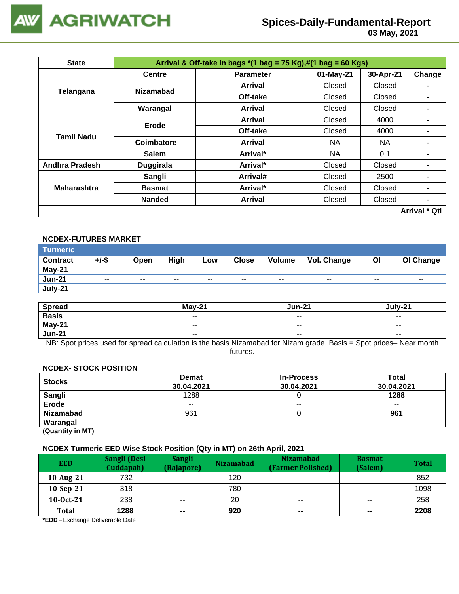

 **03 May, 2021**

| <b>State</b>          | Arrival & Off-take in bags $*(1 \text{ bag} = 75 \text{ Kg}),\#(1 \text{ bag} = 60 \text{ Kg})$ |                  |           |           |                      |  |  |  |
|-----------------------|-------------------------------------------------------------------------------------------------|------------------|-----------|-----------|----------------------|--|--|--|
|                       | <b>Centre</b>                                                                                   | <b>Parameter</b> | 01-May-21 | 30-Apr-21 | Change               |  |  |  |
|                       | <b>Nizamabad</b>                                                                                | <b>Arrival</b>   | Closed    | Closed    |                      |  |  |  |
| Telangana             |                                                                                                 | Off-take         | Closed    | Closed    | -                    |  |  |  |
|                       | Warangal                                                                                        | <b>Arrival</b>   | Closed    | Closed    | -                    |  |  |  |
|                       | Erode                                                                                           | <b>Arrival</b>   | Closed    | 4000      | -                    |  |  |  |
|                       |                                                                                                 | Off-take         | Closed    | 4000      |                      |  |  |  |
| <b>Tamil Nadu</b>     | Coimbatore                                                                                      | <b>Arrival</b>   | NA.       | <b>NA</b> |                      |  |  |  |
|                       | <b>Salem</b>                                                                                    | Arrival*         | NA.       | 0.1       | -                    |  |  |  |
| <b>Andhra Pradesh</b> | <b>Duggirala</b>                                                                                | Arrival*         | Closed    | Closed    | -                    |  |  |  |
|                       | Sangli                                                                                          | Arrival#         | Closed    | 2500      | -                    |  |  |  |
| <b>Maharashtra</b>    | <b>Basmat</b>                                                                                   | Arrival*         | Closed    | Closed    |                      |  |  |  |
|                       | <b>Nanded</b>                                                                                   | Arrival          | Closed    | Closed    | $\blacksquare$       |  |  |  |
|                       |                                                                                                 |                  |           |           | <b>Arrival * Qtl</b> |  |  |  |

# **NCDEX-FUTURES MARKET**

| Turmeric <sup>1</sup> |                          |       |       |       |              |                          |             |       |           |
|-----------------------|--------------------------|-------|-------|-------|--------------|--------------------------|-------------|-------|-----------|
| <b>Contract</b>       | +/-\$                    | Open  | High  | Low   | <b>Close</b> | <b>Volume</b>            | Vol. Change | Οl    | OI Change |
| <b>May-21</b>         | $\sim$ $\sim$            | $- -$ | $- -$ | $- -$ | $- -$        | $- -$                    | --          | $- -$ | $- -$     |
| <b>Jun-21</b>         | $\overline{\phantom{a}}$ | $- -$ | $- -$ | --    | $- -$        | $\overline{\phantom{a}}$ | $- -$       | $- -$ | $- -$     |
| July-21               | $\sim$ $\sim$            | $- -$ | $- -$ | $- -$ | $- -$        | $- -$                    | $- -$       | $- -$ | $- -$     |

| <b>Spread</b> | $M$ av-21                | <b>Jun-21</b>            | July-21                  |
|---------------|--------------------------|--------------------------|--------------------------|
| <b>Basis</b>  | $\overline{\phantom{a}}$ | $\sim$ $\sim$            | $\overline{\phantom{a}}$ |
| May-21        | $\sim$ $\sim$            | $\overline{\phantom{m}}$ | $\overline{\phantom{a}}$ |
| <b>Jun-21</b> | $- -$                    | $- -$                    | $- -$                    |

NB: Spot prices used for spread calculation is the basis Nizamabad for Nizam grade. Basis = Spot prices– Near month futures.

#### **NCDEX- STOCK POSITION**

| <b>Stocks</b>                                                                                                                                                                                                                                                                                                                      | <b>Demat</b> | <b>In-Process</b> | <b>Total</b> |
|------------------------------------------------------------------------------------------------------------------------------------------------------------------------------------------------------------------------------------------------------------------------------------------------------------------------------------|--------------|-------------------|--------------|
|                                                                                                                                                                                                                                                                                                                                    | 30.04.2021   | 30.04.2021        | 30.04.2021   |
| Sangli                                                                                                                                                                                                                                                                                                                             | 1288         |                   | 1288         |
| Erode                                                                                                                                                                                                                                                                                                                              | $- -$        | $- -$             | $- -$        |
| <b>Nizamabad</b>                                                                                                                                                                                                                                                                                                                   | 961          |                   | 961          |
| Warangal                                                                                                                                                                                                                                                                                                                           | $- -$        | $- -$             | $- -$        |
| $\mathbf{r}$ $\mathbf{r}$ $\mathbf{r}$ $\mathbf{r}$ $\mathbf{r}$ $\mathbf{r}$ $\mathbf{r}$ $\mathbf{r}$ $\mathbf{r}$ $\mathbf{r}$ $\mathbf{r}$ $\mathbf{r}$ $\mathbf{r}$ $\mathbf{r}$ $\mathbf{r}$ $\mathbf{r}$ $\mathbf{r}$ $\mathbf{r}$ $\mathbf{r}$ $\mathbf{r}$ $\mathbf{r}$ $\mathbf{r}$ $\mathbf{r}$ $\mathbf{r}$ $\mathbf{$ |              |                   |              |

(**Quantity in MT)**

#### **NCDEX Turmeric EED Wise Stock Position (Qty in MT) on 26th April, 2021**

| <b>EED</b>   | Sangli (Desi<br>Cuddapah) | <b>Sangli</b><br>(Rajapore) | <b>Nizamabad</b> | <b>Nizamabad</b><br>(Farmer Polished) | <b>Basmat</b><br>(Salem) | <b>Total</b> |
|--------------|---------------------------|-----------------------------|------------------|---------------------------------------|--------------------------|--------------|
| $10$ -Aug-21 | 732                       | $\overline{\phantom{a}}$    | 120              | $- -$                                 | $\sim$ $\sim$            | 852          |
| $10-Sep-21$  | 318                       | $\sim$ $-$                  | 780              | $- -$                                 | $- -$                    | 1098         |
| $10-0ct-21$  | 238                       | $- -$                       | 20               | $- -$                                 | $- -$                    | 258          |
| <b>Total</b> | 1288                      | $\sim$                      | 920              | $\sim$                                | $\sim$                   | 2208         |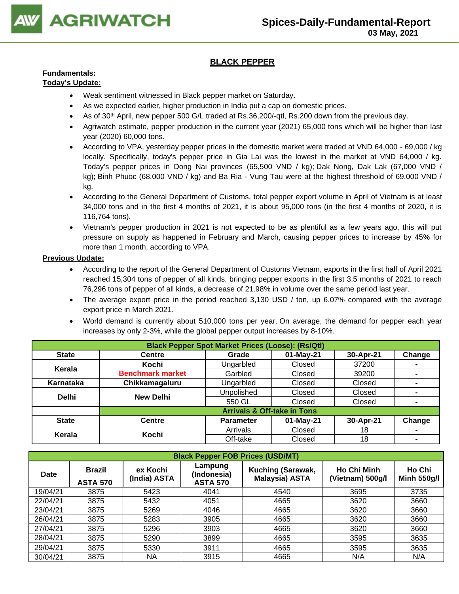

# **BLACK PEPPER**

# **Fundamentals:**

# **Today's Update:**

- Weak sentiment witnessed in Black pepper market on Saturday.
- As we expected earlier, higher production in India put a cap on domestic prices.
- As of 30<sup>th</sup> April, new pepper 500 G/L traded at Rs.36,200/-qtl, Rs.200 down from the previous day.
- Agriwatch estimate, pepper production in the current year (2021) 65,000 tons which will be higher than last year (2020) 60,000 tons.
- According to VPA, yesterday pepper prices in the domestic market were traded at VND 64,000 69,000 / kg locally. Specifically, today's pepper price in Gia Lai was the lowest in the market at VND 64,000 / kg. Today's pepper prices in Dong Nai provinces (65,500 VND / kg); Dak Nong, Dak Lak (67,000 VND / kg); Binh Phuoc (68,000 VND / kg) and Ba Ria - Vung Tau were at the highest threshold of 69,000 VND / kg.
- According to the General Department of Customs, total pepper export volume in April of Vietnam is at least 34,000 tons and in the first 4 months of 2021, it is about 95,000 tons (in the first 4 months of 2020, it is 116,764 tons).
- Vietnam's pepper production in 2021 is not expected to be as plentiful as a few years ago, this will put pressure on supply as happened in February and March, causing pepper prices to increase by 45% for more than 1 month, according to VPA.

- According to the report of the General Department of Customs Vietnam, exports in the first half of April 2021 reached 15,304 tons of pepper of all kinds, bringing pepper exports in the first 3.5 months of 2021 to reach 76,296 tons of pepper of all kinds, a decrease of 21.98% in volume over the same period last year.
- The average export price in the period reached 3,130 USD / ton, up 6.07% compared with the average export price in March 2021.
- World demand is currently about 510,000 tons per year. On average, the demand for pepper each year increases by only 2-3%, while the global pepper output increases by 8-10%.

| <b>Black Pepper Spot Market Prices (Loose): (Rs/Qtl)</b> |                         |                                        |             |           |        |  |  |  |
|----------------------------------------------------------|-------------------------|----------------------------------------|-------------|-----------|--------|--|--|--|
| <b>State</b>                                             | <b>Centre</b>           | Grade                                  | $01-May-21$ | 30-Apr-21 | Change |  |  |  |
| Kerala                                                   | Kochi                   | Ungarbled                              | Closed      | 37200     |        |  |  |  |
|                                                          | <b>Benchmark market</b> | Garbled                                | Closed      | 39200     |        |  |  |  |
| Karnataka                                                | Chikkamagaluru          | Ungarbled                              | Closed      | Closed    |        |  |  |  |
| <b>Delhi</b>                                             | <b>New Delhi</b>        | Unpolished                             | Closed      | Closed    |        |  |  |  |
|                                                          |                         | 550 GL                                 | Closed      | Closed    |        |  |  |  |
|                                                          |                         | <b>Arrivals &amp; Off-take in Tons</b> |             |           |        |  |  |  |
| <b>State</b>                                             | <b>Centre</b>           | <b>Parameter</b>                       | $01-May-21$ | 30-Apr-21 | Change |  |  |  |
| Kerala                                                   | Kochi                   | Arrivals                               | Closed      | 18        |        |  |  |  |
|                                                          |                         | Off-take                               | Closed      | 18        |        |  |  |  |

| <b>Black Pepper FOB Prices (USD/MT)</b> |                                  |                          |                                           |                                            |                                        |                              |  |  |  |
|-----------------------------------------|----------------------------------|--------------------------|-------------------------------------------|--------------------------------------------|----------------------------------------|------------------------------|--|--|--|
| <b>Date</b>                             | <b>Brazil</b><br><b>ASTA 570</b> | ex Kochi<br>(India) ASTA | Lampung<br>(Indonesia)<br><b>ASTA 570</b> | Kuching (Sarawak,<br><b>Malaysia) ASTA</b> | <b>Ho Chi Minh</b><br>(Vietnam) 500g/l | Ho Chi<br><b>Minh 550g/l</b> |  |  |  |
| 19/04/21                                | 3875                             | 5423                     | 4041                                      | 4540                                       | 3695                                   | 3735                         |  |  |  |
| 22/04/21                                | 3875                             | 5432                     | 4051                                      | 4665                                       | 3620                                   | 3660                         |  |  |  |
| 23/04/21                                | 3875                             | 5269                     | 4046                                      | 4665                                       | 3620                                   | 3660                         |  |  |  |
| 26/04/21                                | 3875                             | 5283                     | 3905                                      | 4665                                       | 3620                                   | 3660                         |  |  |  |
| 27/04/21                                | 3875                             | 5296                     | 3903                                      | 4665                                       | 3620                                   | 3660                         |  |  |  |
| 28/04/21                                | 3875                             | 5290                     | 3899                                      | 4665                                       | 3595                                   | 3635                         |  |  |  |
| 29/04/21                                | 3875                             | 5330                     | 3911                                      | 4665                                       | 3595                                   | 3635                         |  |  |  |
| 30/04/21                                | 3875                             | ΝA                       | 3915                                      | 4665                                       | N/A                                    | N/A                          |  |  |  |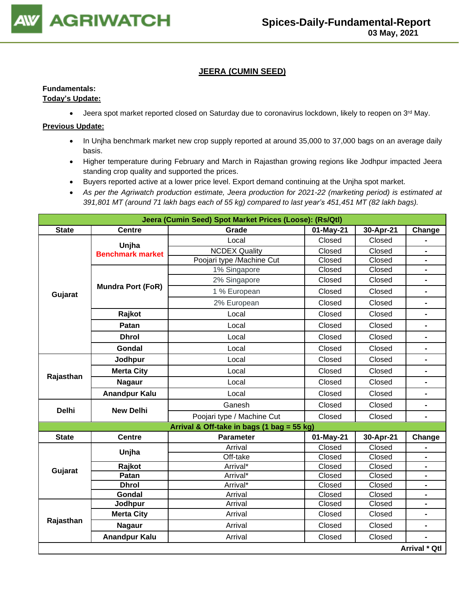

# **JEERA (CUMIN SEED)**

# **Fundamentals:**

# **Today's Update:**

 $\bullet$  Jeera spot market reported closed on Saturday due to coronavirus lockdown, likely to reopen on 3<sup>rd</sup> May.

- In Unjha benchmark market new crop supply reported at around 35,000 to 37,000 bags on an average daily basis.
- Higher temperature during February and March in Rajasthan growing regions like Jodhpur impacted Jeera standing crop quality and supported the prices.
- Buyers reported active at a lower price level. Export demand continuing at the Unjha spot market.
- *As per the Agriwatch production estimate, Jeera production for 2021-22 (marketing period) is estimated at 391,801 MT (around 71 lakh bags each of 55 kg) compared to last year's 451,451 MT (82 lakh bags).*

|              |                          | Jeera (Cumin Seed) Spot Market Prices (Loose): (Rs/Qtl) |           |           |                          |
|--------------|--------------------------|---------------------------------------------------------|-----------|-----------|--------------------------|
| <b>State</b> | <b>Centre</b>            | Grade                                                   | 01-May-21 | 30-Apr-21 | Change                   |
|              | Unjha                    | Local                                                   | Closed    | Closed    |                          |
|              | <b>Benchmark market</b>  | <b>NCDEX Quality</b>                                    | Closed    | Closed    | -                        |
|              |                          | Poojari type /Machine Cut                               | Closed    | Closed    | $\blacksquare$           |
|              |                          | 1% Singapore                                            | Closed    | Closed    | -                        |
|              | <b>Mundra Port (FoR)</b> | 2% Singapore                                            | Closed    | Closed    | $\blacksquare$           |
| Gujarat      |                          | 1 % European                                            | Closed    | Closed    | $\blacksquare$           |
|              |                          | 2% European                                             | Closed    | Closed    | -                        |
|              | Rajkot                   | Local                                                   | Closed    | Closed    | $\blacksquare$           |
|              | Patan                    | Local                                                   | Closed    | Closed    | -                        |
|              | <b>Dhrol</b>             | Local                                                   | Closed    | Closed    | $\blacksquare$           |
|              | <b>Gondal</b>            | Local                                                   | Closed    | Closed    | -                        |
|              | Jodhpur                  | Local                                                   | Closed    | Closed    | $\blacksquare$           |
|              | <b>Merta City</b>        | Local                                                   | Closed    | Closed    | $\blacksquare$           |
| Rajasthan    | <b>Nagaur</b>            | Local                                                   | Closed    | Closed    | -                        |
|              | <b>Anandpur Kalu</b>     | Local                                                   | Closed    | Closed    | $\overline{\phantom{0}}$ |
|              | <b>New Delhi</b>         | Ganesh                                                  | Closed    | Closed    | $\overline{\phantom{0}}$ |
| <b>Delhi</b> |                          | Poojari type / Machine Cut                              | Closed    | Closed    | $\overline{\phantom{0}}$ |
|              |                          | Arrival & Off-take in bags (1 bag = 55 kg)              |           |           |                          |
| <b>State</b> | <b>Centre</b>            | <b>Parameter</b>                                        | 01-May-21 | 30-Apr-21 | Change                   |
|              | Unjha                    | Arrival                                                 | Closed    | Closed    |                          |
|              |                          | Off-take                                                | Closed    | Closed    | $\blacksquare$           |
| Gujarat      | Rajkot                   | Arrival*                                                | Closed    | Closed    | $\blacksquare$           |
|              | Patan                    | Arrival*                                                | Closed    | Closed    | $\blacksquare$           |
|              | <b>Dhrol</b>             | Arrival*                                                | Closed    | Closed    | $\blacksquare$           |
|              | Gondal                   | Arrival                                                 | Closed    | Closed    |                          |
|              | Jodhpur                  | Arrival                                                 | Closed    | Closed    | $\overline{\phantom{0}}$ |
|              | <b>Merta City</b>        | Arrival                                                 | Closed    | Closed    | $\blacksquare$           |
| Rajasthan    | <b>Nagaur</b>            | Arrival                                                 | Closed    | Closed    | $\blacksquare$           |
|              | <b>Anandpur Kalu</b>     | Arrival                                                 | Closed    | Closed    |                          |
|              |                          |                                                         |           |           | Arrival * Qtl            |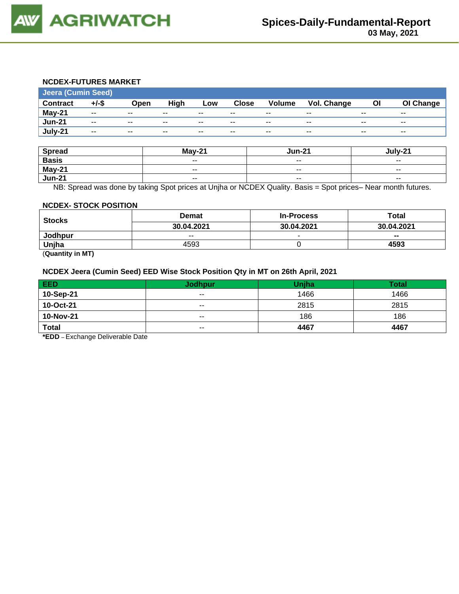

#### **NCDEX-FUTURES MARKET**

| <b>Jeera (Cumin Seed)</b> |                          |       |       |       |              |               |             |       |           |
|---------------------------|--------------------------|-------|-------|-------|--------------|---------------|-------------|-------|-----------|
| <b>Contract</b>           | +/-\$                    | Open  | High  | Low   | <b>Close</b> | <b>Volume</b> | Vol. Change | ΟI    | OI Change |
| May-21                    | $\overline{\phantom{a}}$ | $- -$ | $- -$ | $- -$ | $- -$        | $- -$         | $- -$       | $- -$ | $- -$     |
| <b>Jun-21</b>             | $- -$                    | $- -$ | $- -$ | $- -$ | $- -$        | --            | $- -$       | $- -$ | --        |
| July-21                   | $- -$                    | $- -$ | $- -$ | $- -$ | $- -$        | $- -$         | $- -$       | $- -$ | $- -$     |

| <b>Spread</b> | $May-21$                 | Jun-21                   | lulv-21 |
|---------------|--------------------------|--------------------------|---------|
| <b>Basis</b>  | $\overline{\phantom{a}}$ | $- -$                    | $- -$   |
| May-21        | $\overline{\phantom{m}}$ | $- -$                    | $- -$   |
| <b>Jun-21</b> | $\overline{\phantom{a}}$ | $\overline{\phantom{a}}$ | $- -$   |

NB: Spread was done by taking Spot prices at Unjha or NCDEX Quality. Basis = Spot prices– Near month futures.

#### **NCDEX- STOCK POSITION**

| <b>Stocks</b> | <b>Demat</b> | <b>In-Process</b>        | Total          |
|---------------|--------------|--------------------------|----------------|
|               | 30.04.2021   | 30.04.2021               | 30.04.2021     |
| Jodhpur       | $- -$        | $\overline{\phantom{a}}$ | $\blacksquare$ |
| Unjha         | 4593         |                          | 4593           |

(**Quantity in MT)**

#### **NCDEX Jeera (Cumin Seed) EED Wise Stock Position Qty in MT on 26th April, 2021**

| <b>EED</b>   | <b>Jodhpur</b> | <b>Unjha</b> | Total |
|--------------|----------------|--------------|-------|
| 10-Sep-21    | $- -$          | 1466         | 1466  |
| 10-Oct-21    | $- -$          | 2815         | 2815  |
| 10-Nov-21    | $- -$          | 186          | 186   |
| <b>Total</b> | $\sim$ $\sim$  | 4467         | 4467  |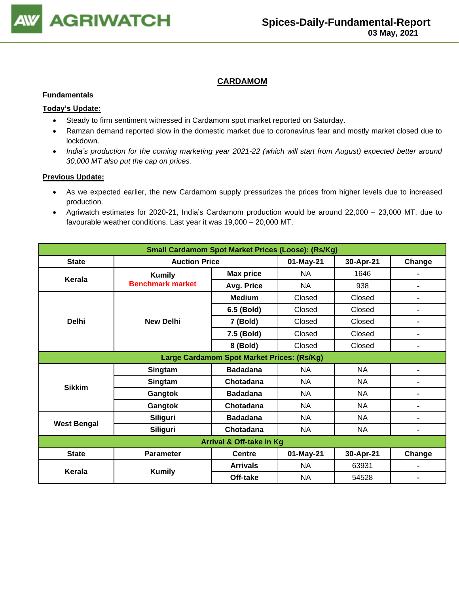

# **CARDAMOM**

#### **Fundamentals**

#### **Today's Update:**

- Steady to firm sentiment witnessed in Cardamom spot market reported on Saturday.
- Ramzan demand reported slow in the domestic market due to coronavirus fear and mostly market closed due to lockdown.
- *India's production for the coming marketing year 2021-22 (which will start from August) expected better around 30,000 MT also put the cap on prices.*

- As we expected earlier, the new Cardamom supply pressurizes the prices from higher levels due to increased production.
- Agriwatch estimates for 2020-21, India's Cardamom production would be around 22,000 23,000 MT, due to favourable weather conditions. Last year it was 19,000 – 20,000 MT.

| <b>Small Cardamom Spot Market Prices (Loose): (Rs/Kg)</b> |                         |                                            |           |           |                |  |  |
|-----------------------------------------------------------|-------------------------|--------------------------------------------|-----------|-----------|----------------|--|--|
| <b>State</b>                                              | <b>Auction Price</b>    |                                            | 01-May-21 | 30-Apr-21 | Change         |  |  |
| Kerala                                                    | <b>Kumily</b>           | <b>Max price</b>                           | <b>NA</b> | 1646      |                |  |  |
|                                                           | <b>Benchmark market</b> | Avg. Price                                 | <b>NA</b> | 938       |                |  |  |
|                                                           |                         | <b>Medium</b>                              | Closed    | Closed    |                |  |  |
|                                                           |                         | 6.5 (Bold)                                 | Closed    | Closed    | $\blacksquare$ |  |  |
| <b>Delhi</b>                                              | <b>New Delhi</b>        | 7 (Bold)                                   | Closed    | Closed    | ٠              |  |  |
|                                                           |                         | 7.5 (Bold)                                 | Closed    | Closed    | $\blacksquare$ |  |  |
|                                                           |                         | 8 (Bold)                                   | Closed    | Closed    | $\blacksquare$ |  |  |
|                                                           |                         | Large Cardamom Spot Market Prices: (Rs/Kg) |           |           |                |  |  |
|                                                           | Singtam                 | <b>Badadana</b>                            | <b>NA</b> | NA        |                |  |  |
| <b>Sikkim</b>                                             | Singtam                 | Chotadana                                  | <b>NA</b> | <b>NA</b> |                |  |  |
|                                                           | Gangtok                 | <b>Badadana</b>                            | <b>NA</b> | <b>NA</b> |                |  |  |
|                                                           | Gangtok                 | Chotadana                                  | NA        | NA.       | $\blacksquare$ |  |  |
|                                                           | <b>Siliguri</b>         | <b>Badadana</b>                            | <b>NA</b> | <b>NA</b> | $\blacksquare$ |  |  |
| <b>West Bengal</b>                                        | <b>Siliguri</b>         | Chotadana                                  | <b>NA</b> | <b>NA</b> | $\blacksquare$ |  |  |
| Arrival & Off-take in Kg                                  |                         |                                            |           |           |                |  |  |
| <b>State</b>                                              | <b>Parameter</b>        | <b>Centre</b>                              | 01-May-21 | 30-Apr-21 | Change         |  |  |
| Kerala                                                    |                         | <b>Arrivals</b>                            | <b>NA</b> | 63931     |                |  |  |
|                                                           | <b>Kumily</b>           | Off-take                                   | <b>NA</b> | 54528     |                |  |  |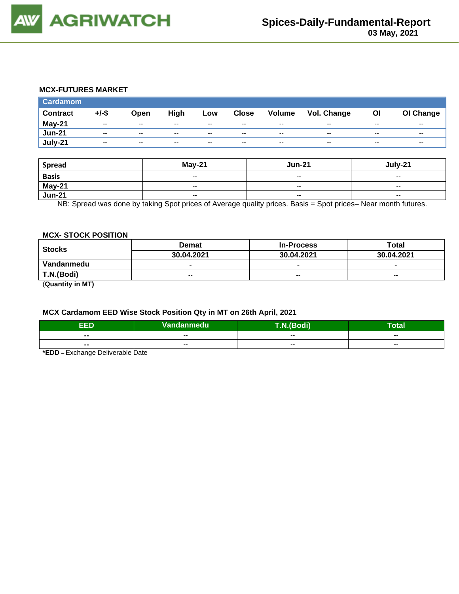

#### **MCX-FUTURES MARKET**

| <b>Cardamom</b> |          |                          |               |                          |              |                          |             |       |           |
|-----------------|----------|--------------------------|---------------|--------------------------|--------------|--------------------------|-------------|-------|-----------|
| <b>Contract</b> | $+/-$ \$ | Open                     | High          | Low                      | <b>Close</b> | <b>Volume</b>            | Vol. Change | O     | OI Change |
| May-21          | $- -$    | $\sim$ $\sim$            | $\sim$ $\sim$ | $\overline{\phantom{a}}$ | $- -$        | $\overline{\phantom{a}}$ | $- -$       | $- -$ | $- -$     |
| <b>Jun-21</b>   | $- -$    | $- -$                    | --            | $- -$                    | $- -$        | $-$                      | $- -$       | $- -$ | $- -$     |
| July-21         | $- -$    | $\overline{\phantom{m}}$ | --            | $- -$                    | $- -$        | $- -$                    | $- -$       | $- -$ | $- -$     |

| <b>Spread</b> | <b>May-21</b>            | <b>Jun-21</b>            | July-21                  |
|---------------|--------------------------|--------------------------|--------------------------|
| <b>Basis</b>  | $\overline{\phantom{a}}$ | $\overline{\phantom{a}}$ | $\overline{\phantom{a}}$ |
| <b>May-21</b> | $-$                      | $\sim$ $\sim$            | $-$                      |
| <b>Jun-21</b> | $\overline{\phantom{a}}$ | $\overline{\phantom{a}}$ | $\overline{\phantom{a}}$ |

NB: Spread was done by taking Spot prices of Average quality prices. Basis = Spot prices– Near month futures.

## **MCX- STOCK POSITION**

| <b>Stocks</b> | <b>Demat</b>             | <b>In-Process</b>        | Total                    |  |
|---------------|--------------------------|--------------------------|--------------------------|--|
|               | 30.04.2021               | 30.04.2021               | 30.04.2021               |  |
| Vandanmedu    | $\overline{\phantom{0}}$ | $\overline{\phantom{0}}$ | $\overline{\phantom{0}}$ |  |
| T.N.(Bodi)    | $-$                      | $-$                      | $-$                      |  |
| ----          |                          |                          |                          |  |

(**Quantity in MT)**

#### **MCX Cardamom EED Wise Stock Position Qty in MT on 26th April, 2021**

| EED            | Vandanmedu <sup> </sup> | <b>Bodi</b> | -<br>отан |
|----------------|-------------------------|-------------|-----------|
| $\sim$         | $- -$                   | $-$         | $- -$     |
| $\blacksquare$ | $- -$                   | $- -$       | $- -$     |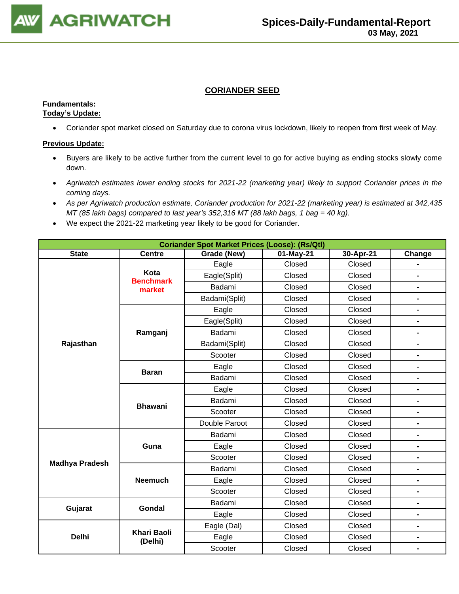

# **CORIANDER SEED**

## **Fundamentals: Today's Update:**

• Coriander spot market closed on Saturday due to corona virus lockdown, likely to reopen from first week of May.

- Buyers are likely to be active further from the current level to go for active buying as ending stocks slowly come down.
- *Agriwatch estimates lower ending stocks for 2021-22 (marketing year) likely to support Coriander prices in the coming days.*
- *As per Agriwatch production estimate, Coriander production for 2021-22 (marketing year) is estimated at 342,435 MT (85 lakh bags) compared to last year's 352,316 MT (88 lakh bags, 1 bag = 40 kg).*
- We expect the 2021-22 marketing year likely to be good for Coriander.

| <b>Coriander Spot Market Prices (Loose): (Rs/Qtl)</b> |                               |               |           |           |                              |  |  |
|-------------------------------------------------------|-------------------------------|---------------|-----------|-----------|------------------------------|--|--|
| <b>State</b>                                          | <b>Centre</b>                 | Grade (New)   | 01-May-21 | 30-Apr-21 | Change                       |  |  |
|                                                       |                               | Eagle         | Closed    | Closed    |                              |  |  |
|                                                       | Kota<br><b>Benchmark</b>      | Eagle(Split)  | Closed    | Closed    |                              |  |  |
|                                                       | market                        | Badami        | Closed    | Closed    | $\blacksquare$               |  |  |
|                                                       |                               | Badami(Split) | Closed    | Closed    | $\blacksquare$               |  |  |
|                                                       |                               | Eagle         | Closed    | Closed    | $\blacksquare$               |  |  |
|                                                       |                               | Eagle(Split)  | Closed    | Closed    | $\blacksquare$               |  |  |
|                                                       | Ramganj                       | Badami        | Closed    | Closed    | $\blacksquare$               |  |  |
| Rajasthan                                             |                               | Badami(Split) | Closed    | Closed    | $\blacksquare$               |  |  |
|                                                       |                               | Scooter       | Closed    | Closed    | $\qquad \qquad \blacksquare$ |  |  |
|                                                       | <b>Baran</b>                  | Eagle         | Closed    | Closed    | $\blacksquare$               |  |  |
|                                                       |                               | Badami        | Closed    | Closed    | $\blacksquare$               |  |  |
|                                                       |                               | Eagle         | Closed    | Closed    | $\blacksquare$               |  |  |
|                                                       | <b>Bhawani</b>                | Badami        | Closed    | Closed    | $\blacksquare$               |  |  |
|                                                       |                               | Scooter       | Closed    | Closed    | $\blacksquare$               |  |  |
|                                                       |                               | Double Paroot | Closed    | Closed    | $\overline{a}$               |  |  |
|                                                       |                               | Badami        | Closed    | Closed    | $\blacksquare$               |  |  |
|                                                       | Guna                          | Eagle         | Closed    | Closed    | $\blacksquare$               |  |  |
|                                                       |                               | Scooter       | Closed    | Closed    | $\blacksquare$               |  |  |
| <b>Madhya Pradesh</b>                                 |                               | Badami        | Closed    | Closed    | $\blacksquare$               |  |  |
|                                                       | <b>Neemuch</b>                | Eagle         | Closed    | Closed    | $\blacksquare$               |  |  |
|                                                       |                               | Scooter       | Closed    | Closed    |                              |  |  |
|                                                       | <b>Gondal</b>                 | Badami        | Closed    | Closed    | $\blacksquare$               |  |  |
| Gujarat                                               |                               | Eagle         | Closed    | Closed    | $\qquad \qquad \blacksquare$ |  |  |
|                                                       |                               | Eagle (Dal)   | Closed    | Closed    | $\blacksquare$               |  |  |
| <b>Delhi</b>                                          | <b>Khari Baoli</b><br>(Delhi) | Eagle         | Closed    | Closed    | $\blacksquare$               |  |  |
|                                                       |                               | Scooter       | Closed    | Closed    | $\blacksquare$               |  |  |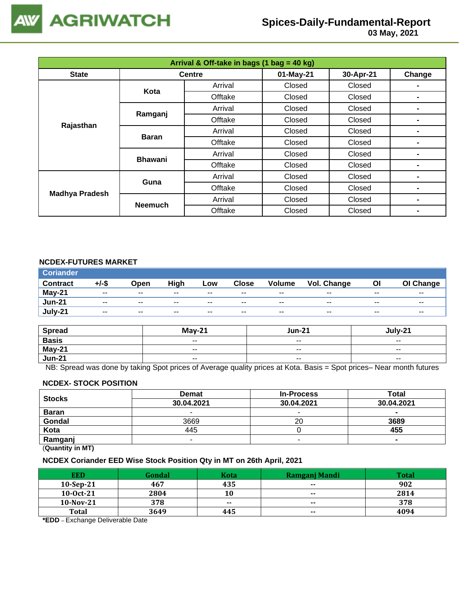

 **03 May, 2021**

| Arrival & Off-take in bags (1 bag = 40 kg) |                |               |           |           |        |  |  |
|--------------------------------------------|----------------|---------------|-----------|-----------|--------|--|--|
| <b>State</b>                               |                | <b>Centre</b> | 01-May-21 | 30-Apr-21 | Change |  |  |
|                                            | Kota           | Arrival       | Closed    | Closed    |        |  |  |
|                                            |                | Offtake       | Closed    | Closed    | -      |  |  |
|                                            | Ramganj        | Arrival       | Closed    | Closed    | ۰      |  |  |
|                                            |                | Offtake       | Closed    | Closed    |        |  |  |
| Rajasthan                                  | <b>Baran</b>   | Arrival       | Closed    | Closed    | -      |  |  |
|                                            |                | Offtake       | Closed    | Closed    | ۰      |  |  |
|                                            | <b>Bhawani</b> | Arrival       | Closed    | Closed    |        |  |  |
|                                            |                | Offtake       | Closed    | Closed    | -      |  |  |
| <b>Madhya Pradesh</b>                      | Guna           | Arrival       | Closed    | Closed    | -      |  |  |
|                                            |                | Offtake       | Closed    | Closed    | ۰      |  |  |
|                                            |                | Arrival       | Closed    | Closed    |        |  |  |
|                                            | <b>Neemuch</b> | Offtake       | Closed    | Closed    | -      |  |  |

# **NCDEX-FUTURES MARKET**

| <b>Coriander</b> |       |                          |       |       |              |               |             |       |                          |
|------------------|-------|--------------------------|-------|-------|--------------|---------------|-------------|-------|--------------------------|
| <b>Contract</b>  | +/-\$ | Open                     | High  | Low   | <b>Close</b> | <b>Volume</b> | Vol. Change | OI    | OI Change                |
| May-21           | $- -$ | $- -$                    | $- -$ | $- -$ | $- -$        | $- -$         | $- -$       | $- -$ | $- -$                    |
| <b>Jun-21</b>    | $- -$ | $\overline{\phantom{a}}$ | $- -$ | $- -$ | $- -$        | $- -$         | $- -$       | $- -$ | $\overline{\phantom{a}}$ |
| July-21          | $- -$ | $\sim$ $\sim$            | $- -$ | $- -$ | $- -$        | $- -$         | $- -$       | $- -$ | $- -$                    |

| <b>Spread</b> | $May-21$                 | <b>Jun-21</b>            | July-21                  |
|---------------|--------------------------|--------------------------|--------------------------|
| <b>Basis</b>  | $- -$                    | $- -$                    | $- -$                    |
| May-21        | $\overline{\phantom{a}}$ | $- -$                    | $- -$                    |
| <b>Jun-21</b> | $ -$                     | $\overline{\phantom{a}}$ | $\overline{\phantom{a}}$ |

NB: Spread was done by taking Spot prices of Average quality prices at Kota. Basis = Spot prices– Near month futures

#### **NCDEX- STOCK POSITION**

| <b>Stocks</b> | <b>Demat</b> | <b>In-Process</b>        | Total      |  |  |  |
|---------------|--------------|--------------------------|------------|--|--|--|
|               | 30.04.2021   | 30.04.2021               | 30.04.2021 |  |  |  |
| <b>Baran</b>  | -            |                          | $\sim$     |  |  |  |
| Gondal        | 3669         | 20                       | 3689       |  |  |  |
| Kota          | 445          |                          | 455        |  |  |  |
| Ramganj       |              | $\overline{\phantom{a}}$ | $\sim$     |  |  |  |
|               |              |                          |            |  |  |  |

(**Quantity in MT)**

#### **NCDEX Coriander EED Wise Stock Position Qty in MT on 26th April, 2021**

| <b>EED</b>   | Gondal | <b>Kota</b> | Ramganj Mandi            | <b>Total</b> |
|--------------|--------|-------------|--------------------------|--------------|
| 10-Sep-21    | 467    | 435         | $\overline{\phantom{a}}$ | 902          |
| $10-0ct-21$  | 2804   | 10          | $\sim$ $\sim$            | 2814         |
| $10$ -Nov-21 | 378    | $- -$       | $- -$                    | 378          |
| <b>Total</b> | 3649   | 445         | $\sim$ $\sim$            | 4094         |